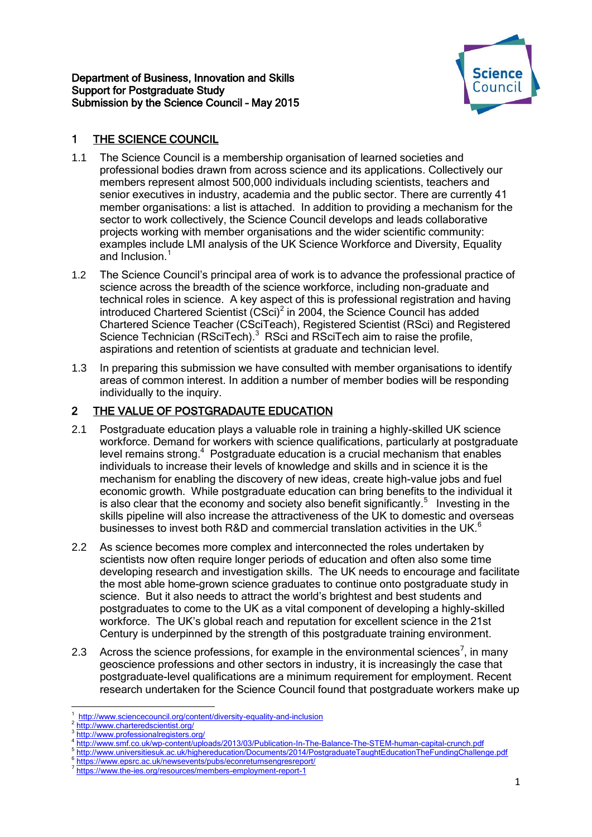#### Department of Business, Innovation and Skills Support for Postgraduate Study Submission by the Science Council – May 2015



# 1 THE SCIENCE COUNCIL

- 1.1 The Science Council is a membership organisation of learned societies and professional bodies drawn from across science and its applications. Collectively our members represent almost 500,000 individuals including scientists, teachers and senior executives in industry, academia and the public sector. There are currently 41 member organisations: a list is attached. In addition to providing a mechanism for the sector to work collectively, the Science Council develops and leads collaborative projects working with member organisations and the wider scientific community: examples include LMI analysis of the UK Science Workforce and Diversity, Equality and Inclusion.<sup>1</sup>
- 1.2 The Science Council's principal area of work is to advance the professional practice of science across the breadth of the science workforce, including non-graduate and technical roles in science. A key aspect of this is professional registration and having introduced Chartered Scientist  $(CSci)^2$  in 2004, the Science Council has added Chartered Science Teacher (CSciTeach), Registered Scientist (RSci) and Registered Science Technician (RSciTech).<sup>3</sup> RSci and RSciTech aim to raise the profile, aspirations and retention of scientists at graduate and technician level.
- 1.3 In preparing this submission we have consulted with member organisations to identify areas of common interest. In addition a number of member bodies will be responding individually to the inquiry.

# 2 THE VALUE OF POSTGRADAUTE EDUCATION

- 2.1 Postgraduate education plays a valuable role in training a highly-skilled UK science workforce. Demand for workers with science qualifications, particularly at postgraduate level remains strong.<sup>4</sup> Postgraduate education is a crucial mechanism that enables individuals to increase their levels of knowledge and skills and in science it is the mechanism for enabling the discovery of new ideas, create high-value jobs and fuel economic growth. While postgraduate education can bring benefits to the individual it is also clear that the economy and society also benefit significantly.<sup>5</sup> Investing in the skills pipeline will also increase the attractiveness of the UK to domestic and overseas businesses to invest both R&D and commercial translation activities in the UK. $^6$
- 2.2 As science becomes more complex and interconnected the roles undertaken by scientists now often require longer periods of education and often also some time developing research and investigation skills. The UK needs to encourage and facilitate the most able home-grown science graduates to continue onto postgraduate study in science. But it also needs to attract the world's brightest and best students and postgraduates to come to the UK as a vital component of developing a highly-skilled workforce. The UK's global reach and reputation for excellent science in the 21st Century is underpinned by the strength of this postgraduate training environment.
- 2.3 Across the science professions, for example in the environmental sciences<sup>7</sup>, in many geoscience professions and other sectors in industry, it is increasingly the case that postgraduate-level qualifications are a minimum requirement for employment. Recent research undertaken for the Science Council found that postgraduate workers make up

<sup>1</sup> 1 <http://www.sciencecouncil.org/content/diversity-equality-and-inclusion>

<sup>2</sup> <http://www.charteredscientist.org/>

<sup>3</sup> <http://www.professionalregisters.org/>

<sup>4</sup> <http://www.smf.co.uk/wp-content/uploads/2013/03/Publication-In-The-Balance-The-STEM-human-capital-crunch.pdf>

<sup>5</sup> <http://www.universitiesuk.ac.uk/highereducation/Documents/2014/PostgraduateTaughtEducationTheFundingChallenge.pdf>

<sup>6</sup> <https://www.epsrc.ac.uk/newsevents/pubs/econreturnsengresreport/>

<sup>7</sup> <https://www.the-ies.org/resources/members-employment-report-1>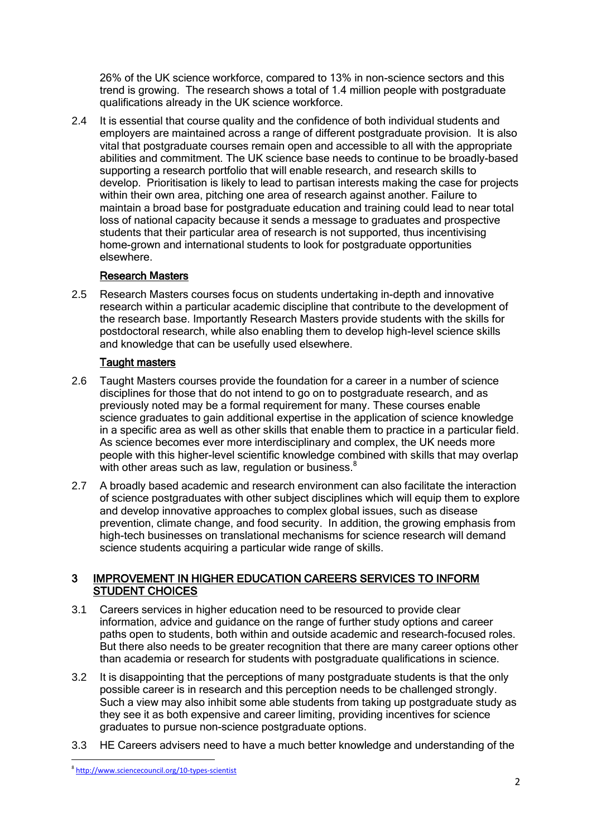26% of the UK science workforce, compared to 13% in non-science sectors and this trend is growing. The research shows a total of 1.4 million people with postgraduate qualifications already in the UK science workforce.

2.4 It is essential that course quality and the confidence of both individual students and employers are maintained across a range of different postgraduate provision. It is also vital that postgraduate courses remain open and accessible to all with the appropriate abilities and commitment. The UK science base needs to continue to be broadly-based supporting a research portfolio that will enable research, and research skills to develop. Prioritisation is likely to lead to partisan interests making the case for projects within their own area, pitching one area of research against another. Failure to maintain a broad base for postgraduate education and training could lead to near total loss of national capacity because it sends a message to graduates and prospective students that their particular area of research is not supported, thus incentivising home-grown and international students to look for postgraduate opportunities elsewhere.

## Research **M**asters

2.5 Research Masters courses focus on students undertaking in-depth and innovative research within a particular academic discipline that contribute to the development of the research base. Importantly Research Masters provide students with the skills for postdoctoral research, while also enabling them to develop high-level science skills and knowledge that can be usefully used elsewhere.

### Taught masters

- 2.6 Taught Masters courses provide the foundation for a career in a number of science disciplines for those that do not intend to go on to postgraduate research, and as previously noted may be a formal requirement for many. These courses enable science graduates to gain additional expertise in the application of science knowledge in a specific area as well as other skills that enable them to practice in a particular field. As science becomes ever more interdisciplinary and complex, the UK needs more people with this higher-level scientific knowledge combined with skills that may overlap with other areas such as law, regulation or business.<sup>8</sup>  $\ddot{\phantom{0}}$
- 2.7 A broadly based academic and research environment can also facilitate the interaction of science postgraduates with other subject disciplines which will equip them to explore and develop innovative approaches to complex global issues, such as disease prevention, climate change, and food security. In addition, the growing emphasis from high-tech businesses on translational mechanisms for science research will demand science students acquiring a particular wide range of skills.

### 3 IMPROVEMENT IN HIGHER EDUCATION CAREERS SERVICES TO INFORM STUDENT CHOICES

- 3.1 Careers services in higher education need to be resourced to provide clear information, advice and guidance on the range of further study options and career paths open to students, both within and outside academic and research-focused roles. But there also needs to be greater recognition that there are many career options other than academia or research for students with postgraduate qualifications in science.
- 3.2 It is disappointing that the perceptions of many postgraduate students is that the only possible career is in research and this perception needs to be challenged strongly. Such a view may also inhibit some able students from taking up postgraduate study as they see it as both expensive and career limiting, providing incentives for science graduates to pursue non-science postgraduate options.
- 3.3 HE Careers advisers need to have a much better knowledge and understanding of the

**.** 

<sup>8</sup> <http://www.sciencecouncil.org/10-types-scientist>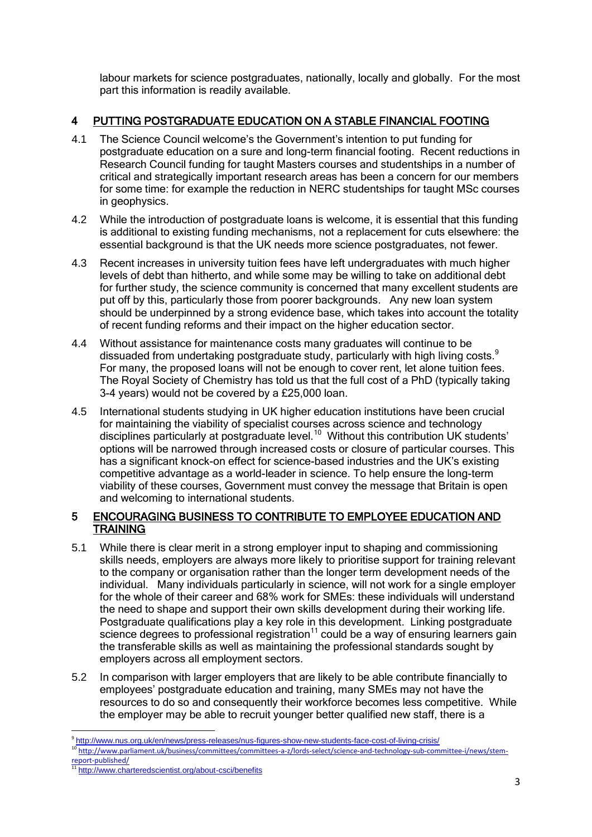labour markets for science postgraduates, nationally, locally and globally. For the most part this information is readily available.

## 4 PUTTING POSTGRADUATE EDUCATION ON A STABLE FINANCIAL FOOTING

- 4.1 The Science Council welcome's the Government's intention to put funding for postgraduate education on a sure and long-term financial footing. Recent reductions in Research Council funding for taught Masters courses and studentships in a number of critical and strategically important research areas has been a concern for our members for some time: for example the reduction in NERC studentships for taught MSc courses in geophysics.
- 4.2 While the introduction of postgraduate loans is welcome, it is essential that this funding is additional to existing funding mechanisms, not a replacement for cuts elsewhere: the essential background is that the UK needs more science postgraduates, not fewer.
- 4.3 Recent increases in university tuition fees have left undergraduates with much higher levels of debt than hitherto, and while some may be willing to take on additional debt for further study, the science community is concerned that many excellent students are put off by this, particularly those from poorer backgrounds. Any new loan system should be underpinned by a strong evidence base, which takes into account the totality of recent funding reforms and their impact on the higher education sector.
- 4.4 Without assistance for maintenance costs many graduates will continue to be dissuaded from undertaking postgraduate study, particularly with high living costs. $9$ For many, the proposed loans will not be enough to cover rent, let alone tuition fees. The Royal Society of Chemistry has told us that the full cost of a PhD (typically taking 3-4 years) would not be covered by a £25,000 loan.
- 4.5 International students studying in UK higher education institutions have been crucial for maintaining the viability of specialist courses across science and technology disciplines particularly at postgraduate level.<sup>10</sup> Without this contribution UK students' options will be narrowed through increased costs or closure of particular courses. This has a significant knock-on effect for science-based industries and the UK's existing competitive advantage as a world-leader in science. To help ensure the long-term viability of these courses, Government must convey the message that Britain is open and welcoming to international students.

## 5 ENCOURAGING BUSINESS TO CONTRIBUTE TO EMPLOYEE EDUCATION AND **TRAINING**

- 5.1 While there is clear merit in a strong employer input to shaping and commissioning skills needs, employers are always more likely to prioritise support for training relevant to the company or organisation rather than the longer term development needs of the individual. Many individuals particularly in science, will not work for a single employer for the whole of their career and 68% work for SMEs: these individuals will understand the need to shape and support their own skills development during their working life. Postgraduate qualifications play a key role in this development. Linking postgraduate science degrees to professional registration $11$  could be a way of ensuring learners gain the transferable skills as well as maintaining the professional standards sought by employers across all employment sectors.
- 5.2 In comparison with larger employers that are likely to be able contribute financially to employees' postgraduate education and training, many SMEs may not have the resources to do so and consequently their workforce becomes less competitive. While the employer may be able to recruit younger better qualified new staff, there is a

<sup>–&</sup>lt;br><sup>9</sup> <http://www.nus.org.uk/en/news/press-releases/nus-figures-show-new-students-face-cost-of-living-crisis/>

<sup>10&</sup>lt;br>[http://www.parliament.uk/business/committees/committees-a-z/lords-select/science-and-technology-sub-committee-i/news/stem](http://www.parliament.uk/business/committees/committees-a-z/lords-select/science-and-technology-sub-committee-i/news/stem-report-published/)[report-published/](http://www.parliament.uk/business/committees/committees-a-z/lords-select/science-and-technology-sub-committee-i/news/stem-report-published/)

<sup>&</sup>lt;sup>11</sup> <http://www.charteredscientist.org/about-csci/benefits>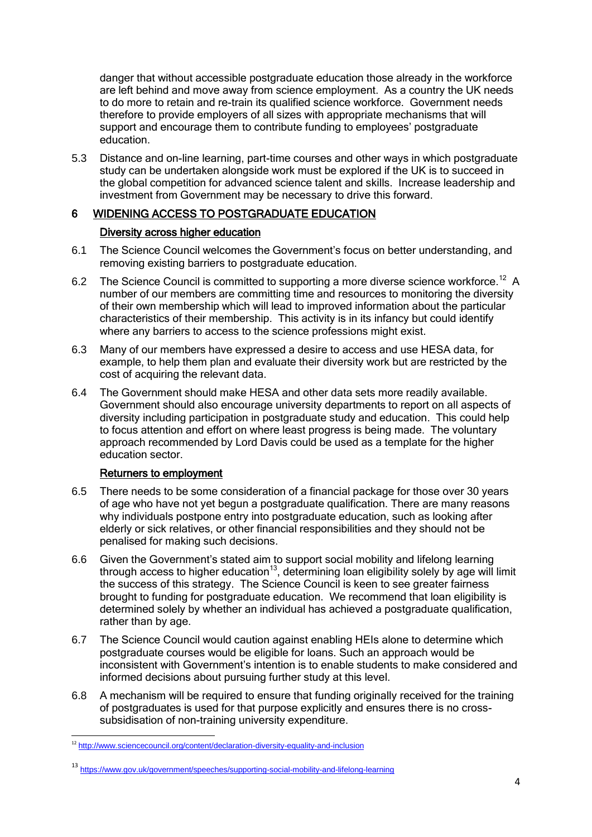danger that without accessible postgraduate education those already in the workforce are left behind and move away from science employment. As a country the UK needs to do more to retain and re-train its qualified science workforce. Government needs therefore to provide employers of all sizes with appropriate mechanisms that will support and encourage them to contribute funding to employees' postgraduate education.

5.3 Distance and on-line learning, part-time courses and other ways in which postgraduate study can be undertaken alongside work must be explored if the UK is to succeed in the global competition for advanced science talent and skills. Increase leadership and investment from Government may be necessary to drive this forward.

## 6 WIDENING ACCESS TO POSTGRADUATE EDUCATION

### Diversity across higher education

- 6.1 The Science Council welcomes the Government's focus on better understanding, and removing existing barriers to postgraduate education.
- 6.2 The Science Council is committed to supporting a more diverse science workforce.<sup>12</sup> A number of our members are committing time and resources to monitoring the diversity of their own membership which will lead to improved information about the particular characteristics of their membership. This activity is in its infancy but could identify where any barriers to access to the science professions might exist.
- 6.3 Many of our members have expressed a desire to access and use HESA data, for example, to help them plan and evaluate their diversity work but are restricted by the cost of acquiring the relevant data.
- 6.4 The Government should make HESA and other data sets more readily available. Government should also encourage university departments to report on all aspects of diversity including participation in postgraduate study and education. This could help to focus attention and effort on where least progress is being made. The voluntary approach recommended by Lord Davis could be used as a template for the higher education sector.

### Returners to employment

- 6.5 There needs to be some consideration of a financial package for those over 30 years of age who have not yet begun a postgraduate qualification. There are many reasons why individuals postpone entry into postgraduate education, such as looking after elderly or sick relatives, or other financial responsibilities and they should not be penalised for making such decisions.
- 6.6 Given the Government's stated aim to support social mobility and lifelong learning through access to higher education<sup>13</sup>, determining loan eligibility solely by age will limit the success of this strategy. The Science Council is keen to see greater fairness brought to funding for postgraduate education. We recommend that loan eligibility is determined solely by whether an individual has achieved a postgraduate qualification, rather than by age.
- 6.7 The Science Council would caution against enabling HEIs alone to determine which postgraduate courses would be eligible for loans. Such an approach would be inconsistent with Government's intention is to enable students to make considered and informed decisions about pursuing further study at this level.
- 6.8 A mechanism will be required to ensure that funding originally received for the training of postgraduates is used for that purpose explicitly and ensures there is no crosssubsidisation of non-training university expenditure.

**<sup>.</sup>** <sup>12</sup> <http://www.sciencecouncil.org/content/declaration-diversity-equality-and-inclusion>

<sup>13</sup> <https://www.gov.uk/government/speeches/supporting-social-mobility-and-lifelong-learning>